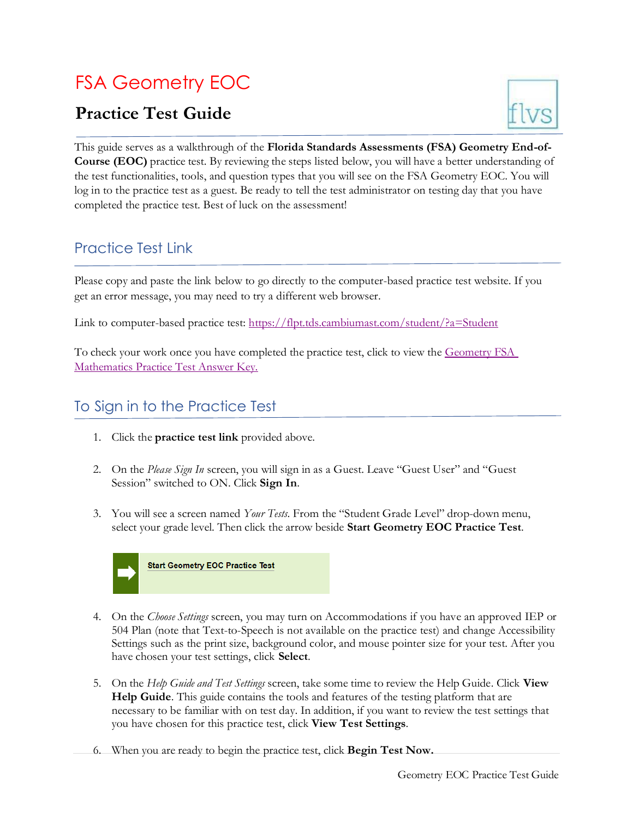# FSA Geometry EOC

## **Practice Test Guide**



This guide serves as a walkthrough of the **Florida Standards Assessments (FSA) Geometry End-of-Course (EOC)** practice test. By reviewing the steps listed below, you will have a better understanding of the test functionalities, tools, and question types that you will see on the FSA Geometry EOC. You will log in to the practice test as a guest. Be ready to tell the test administrator on testing day that you have completed the practice test. Best of luck on the assessment!

## Practice Test Link

Please copy and paste the link below to go directly to the computer-based practice test website. If you get an error message, you may need to try a different web browser.

Link to computer-based practice test:<https://flpt.tds.cambiumast.com/student/?a=Student>

To check your work once you have completed the practice test, click to view the Geometry FSA [Mathematics Practice Test Answer Key.](https://fsassessments.org/-/media/project/client-portals/florida/pdf/2019q3/fsa_2020_geo_mtb_practice-test_answer-key_cbt.pdf)

### To Sign in to the Practice Test

- 1. Click the **practice test link** provided above.
- 2. On the *Please Sign In* screen, you will sign in as a Guest. Leave "Guest User" and "Guest Session" switched to ON. Click **Sign In**.
- 3. You will see a screen named *Your Tests*. From the "Student Grade Level" drop-down menu, select your grade level. Then click the arrow beside **Start Geometry EOC Practice Test**.



- 4. On the *Choose Settings* screen, you may turn on Accommodations if you have an approved IEP or 504 Plan (note that Text-to-Speech is not available on the practice test) and change Accessibility Settings such as the print size, background color, and mouse pointer size for your test. After you have chosen your test settings, click **Select**.
- 5. On the *Help Guide and Test Settings* screen, take some time to review the Help Guide. Click **View Help Guide**. This guide contains the tools and features of the testing platform that are necessary to be familiar with on test day. In addition, if you want to review the test settings that you have chosen for this practice test, click **View Test Settings**.
- 6. When you are ready to begin the practice test, click **Begin Test Now.**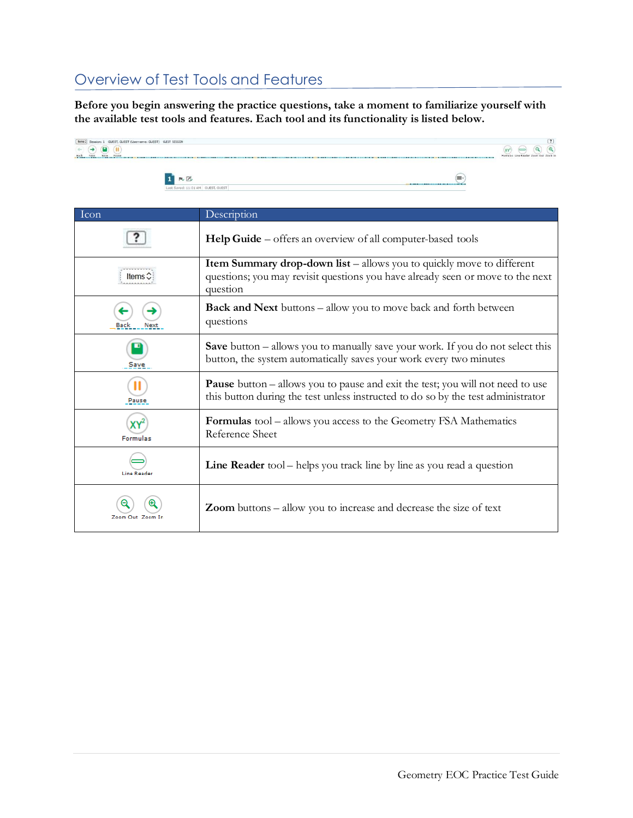## Overview of Test Tools and Features

**Before you begin answering the practice questions, take a moment to familiarize yourself with the available test tools and features. Each tool and its functionality is listed below.**



| Icon              | Description                                                                                                                                                                |
|-------------------|----------------------------------------------------------------------------------------------------------------------------------------------------------------------------|
|                   | <b>Help Guide</b> – offers an overview of all computer-based tools                                                                                                         |
|                   | <b>Item Summary drop-down list</b> – allows you to quickly move to different<br>questions; you may revisit questions you have already seen or move to the next<br>question |
| Next              | <b>Back and Next</b> buttons – allow you to move back and forth between<br>questions                                                                                       |
| Save              | <b>Save</b> button $-$ allows you to manually save your work. If you do not select this<br>button, the system automatically saves your work every two minutes              |
| Pause             | <b>Pause</b> button – allows you to pause and exit the test; you will not need to use<br>this button during the test unless instructed to do so by the test administrator  |
| <b>Formulas</b>   | <b>Formulas</b> tool – allows you access to the Geometry FSA Mathematics<br>Reference Sheet                                                                                |
| Line Reader       | <b>Line Reader</b> tool – helps you track line by line as you read a question                                                                                              |
| Zoom Out, Zoom In | <b>Zoom</b> buttons – allow you to increase and decrease the size of text                                                                                                  |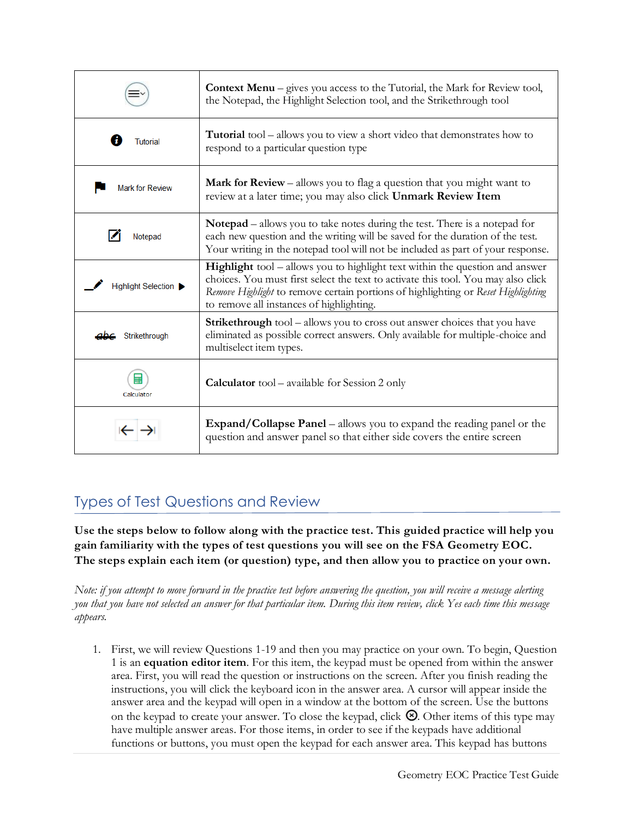|                                           | <b>Context Menu</b> – gives you access to the Tutorial, the Mark for Review tool,<br>the Notepad, the Highlight Selection tool, and the Strikethrough tool                                                                                                                                         |
|-------------------------------------------|----------------------------------------------------------------------------------------------------------------------------------------------------------------------------------------------------------------------------------------------------------------------------------------------------|
| <b>Tutorial</b>                           | <b>Tutorial</b> tool – allows you to view a short video that demonstrates how to<br>respond to a particular question type                                                                                                                                                                          |
| <b>Mark for Review</b>                    | <b>Mark for Review</b> – allows you to flag a question that you might want to<br>review at a later time; you may also click Unmark Review Item                                                                                                                                                     |
| Notepad                                   | <b>Notepad</b> – allows you to take notes during the test. There is a notepad for<br>each new question and the writing will be saved for the duration of the test.<br>Your writing in the notepad tool will not be included as part of your response.                                              |
| Highlight Selection $\blacktriangleright$ | Highlight tool - allows you to highlight text within the question and answer<br>choices. You must first select the text to activate this tool. You may also click<br>Remove Highlight to remove certain portions of highlighting or Reset Highlighting<br>to remove all instances of highlighting. |
| Strikethrough                             | <b>Strikethrough</b> tool – allows you to cross out answer choices that you have<br>eliminated as possible correct answers. Only available for multiple-choice and<br>multiselect item types.                                                                                                      |
| Calculator                                | <b>Calculator</b> tool – available for Session 2 only                                                                                                                                                                                                                                              |
|                                           | <b>Expand/Collapse Panel</b> – allows you to expand the reading panel or the<br>question and answer panel so that either side covers the entire screen                                                                                                                                             |

## Types of Test Questions and Review

**Use the steps below to follow along with the practice test. This guided practice will help you gain familiarity with the types of test questions you will see on the FSA Geometry EOC. The steps explain each item (or question) type, and then allow you to practice on your own.**

*Note: if you attempt to move forward in the practice test before answering the question, you will receive a message alerting* you that you have not selected an answer for that particular item. During this item review, click Yes each time this message *appears.*

1. First, we will review Questions 1-19 and then you may practice on your own. To begin, Question 1 is an **equation editor item**. For this item, the keypad must be opened from within the answer area. First, you will read the question or instructions on the screen. After you finish reading the instructions, you will click the keyboard icon in the answer area. A cursor will appear inside the answer area and the keypad will open in a window at the bottom of the screen. Use the buttons on the keypad to create your answer. To close the keypad, click  $\otimes$ . Other items of this type may have multiple answer areas. For those items, in order to see if the keypads have additional functions or buttons, you must open the keypad for each answer area. This keypad has buttons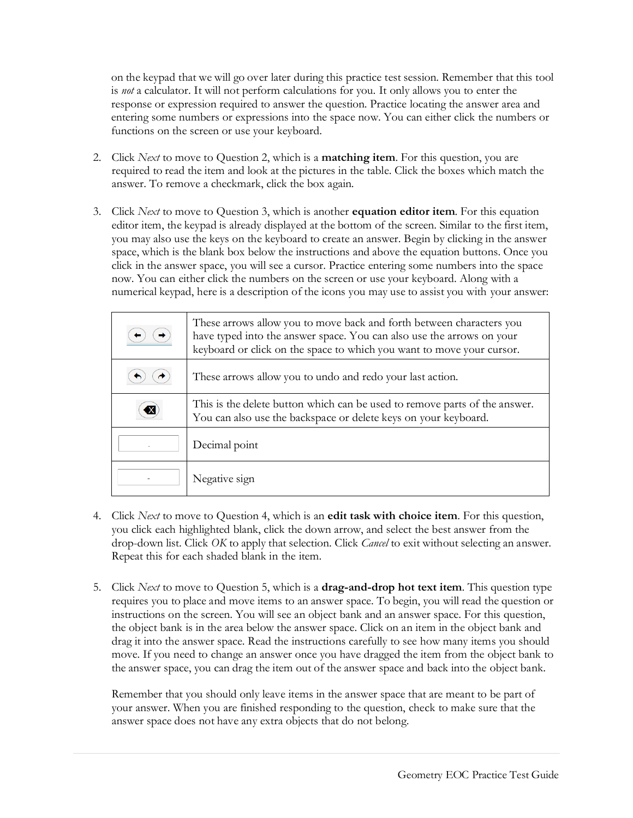on the keypad that we will go over later during this practice test session. Remember that this tool is *not* a calculator. It will not perform calculations for you. It only allows you to enter the response or expression required to answer the question. Practice locating the answer area and entering some numbers or expressions into the space now. You can either click the numbers or functions on the screen or use your keyboard.

- 2. Click *Next* to move to Question 2, which is a **matching item**. For this question, you are required to read the item and look at the pictures in the table. Click the boxes which match the answer. To remove a checkmark, click the box again.
- 3. Click *Next* to move to Question 3, which is another **equation editor item**. For this equation editor item, the keypad is already displayed at the bottom of the screen. Similar to the first item, you may also use the keys on the keyboard to create an answer. Begin by clicking in the answer space, which is the blank box below the instructions and above the equation buttons. Once you click in the answer space, you will see a cursor. Practice entering some numbers into the space now. You can either click the numbers on the screen or use your keyboard. Along with a numerical keypad, here is a description of the icons you may use to assist you with your answer:

| These arrows allow you to move back and forth between characters you<br>have typed into the answer space. You can also use the arrows on your<br>keyboard or click on the space to which you want to move your cursor. |
|------------------------------------------------------------------------------------------------------------------------------------------------------------------------------------------------------------------------|
| These arrows allow you to undo and redo your last action.                                                                                                                                                              |
| This is the delete button which can be used to remove parts of the answer.<br>You can also use the backspace or delete keys on your keyboard.                                                                          |
| Decimal point                                                                                                                                                                                                          |
| Negative sign                                                                                                                                                                                                          |

- 4. Click *Next* to move to Question 4, which is an **edit task with choice item**. For this question, you click each highlighted blank, click the down arrow, and select the best answer from the drop-down list. Click *OK* to apply that selection. Click *Cancel* to exit without selecting an answer. Repeat this for each shaded blank in the item.
- 5. Click *Next* to move to Question 5, which is a **drag-and-drop hot text item**. This question type requires you to place and move items to an answer space. To begin, you will read the question or instructions on the screen. You will see an object bank and an answer space. For this question, the object bank is in the area below the answer space. Click on an item in the object bank and drag it into the answer space. Read the instructions carefully to see how many items you should move. If you need to change an answer once you have dragged the item from the object bank to the answer space, you can drag the item out of the answer space and back into the object bank.

Remember that you should only leave items in the answer space that are meant to be part of your answer. When you are finished responding to the question, check to make sure that the answer space does not have any extra objects that do not belong.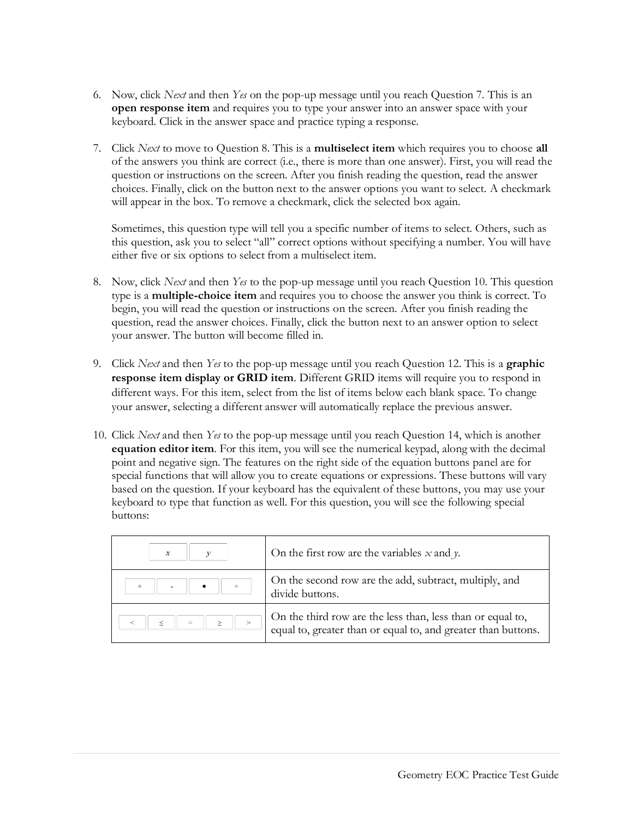- 6. Now, click *Next* and then *Yes* on the pop-up message until you reach Question 7. This is an **open response item** and requires you to type your answer into an answer space with your keyboard. Click in the answer space and practice typing a response.
- 7. Click *Next* to move to Question 8. This is a **multiselect item** which requires you to choose **all** of the answers you think are correct (i.e., there is more than one answer). First, you will read the question or instructions on the screen. After you finish reading the question, read the answer choices. Finally, click on the button next to the answer options you want to select. A checkmark will appear in the box. To remove a checkmark, click the selected box again.

Sometimes, this question type will tell you a specific number of items to select. Others, such as this question, ask you to select "all" correct options without specifying a number. You will have either five or six options to select from a multiselect item.

- 8. Now, click *Next* and then *Yes* to the pop-up message until you reach Question 10. This question type is a **multiple-choice item** and requires you to choose the answer you think is correct. To begin, you will read the question or instructions on the screen. After you finish reading the question, read the answer choices. Finally, click the button next to an answer option to select your answer. The button will become filled in.
- 9. Click *Next* and then *Yes* to the pop-up message until you reach Question 12. This is a **graphic response item display or GRID item**. Different GRID items will require you to respond in different ways. For this item, select from the list of items below each blank space. To change your answer, selecting a different answer will automatically replace the previous answer.
- 10. Click *Next* and then *Yes* to the pop-up message until you reach Question 14, which is another **equation editor item**. For this item, you will see the numerical keypad, along with the decimal point and negative sign. The features on the right side of the equation buttons panel are for special functions that will allow you to create equations or expressions. These buttons will vary based on the question. If your keyboard has the equivalent of these buttons, you may use your keyboard to type that function as well. For this question, you will see the following special buttons:

|     | On the first row are the variables $x$ and $y$ .                                                                            |
|-----|-----------------------------------------------------------------------------------------------------------------------------|
| ÷   | On the second row are the add, subtract, multiply, and<br>divide buttons.                                                   |
| $=$ | On the third row are the less than, less than or equal to,<br>equal to, greater than or equal to, and greater than buttons. |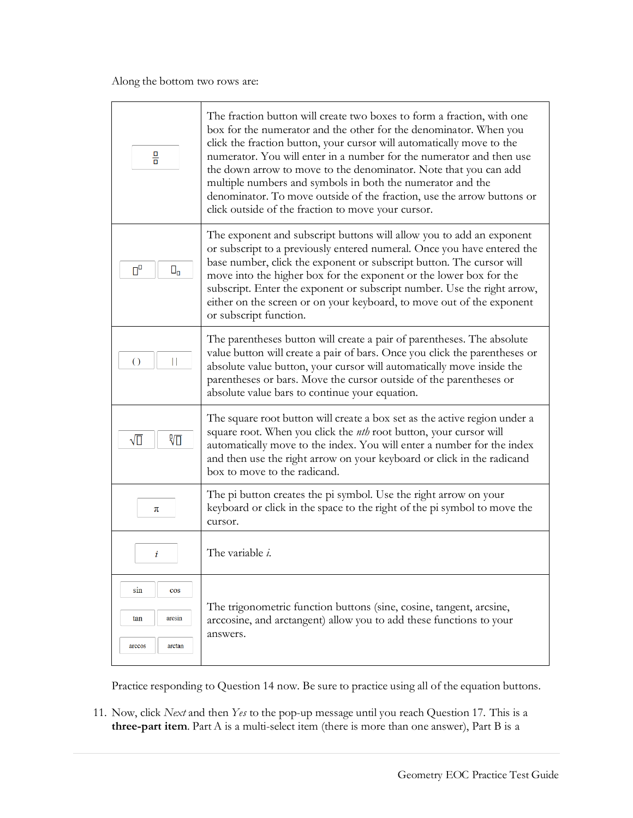| 믐                                                  | The fraction button will create two boxes to form a fraction, with one<br>box for the numerator and the other for the denominator. When you<br>click the fraction button, your cursor will automatically move to the<br>numerator. You will enter in a number for the numerator and then use<br>the down arrow to move to the denominator. Note that you can add<br>multiple numbers and symbols in both the numerator and the<br>denominator. To move outside of the fraction, use the arrow buttons or<br>click outside of the fraction to move your cursor. |
|----------------------------------------------------|----------------------------------------------------------------------------------------------------------------------------------------------------------------------------------------------------------------------------------------------------------------------------------------------------------------------------------------------------------------------------------------------------------------------------------------------------------------------------------------------------------------------------------------------------------------|
| $\Pi^{\Box}$<br>$\square_0$                        | The exponent and subscript buttons will allow you to add an exponent<br>or subscript to a previously entered numeral. Once you have entered the<br>base number, click the exponent or subscript button. The cursor will<br>move into the higher box for the exponent or the lower box for the<br>subscript. Enter the exponent or subscript number. Use the right arrow,<br>either on the screen or on your keyboard, to move out of the exponent<br>or subscript function.                                                                                    |
| $\circ$                                            | The parentheses button will create a pair of parentheses. The absolute<br>value button will create a pair of bars. Once you click the parentheses or<br>absolute value button, your cursor will automatically move inside the<br>parentheses or bars. Move the cursor outside of the parentheses or<br>absolute value bars to continue your equation.                                                                                                                                                                                                          |
| 沥<br>√∏                                            | The square root button will create a box set as the active region under a<br>square root. When you click the <i>nth</i> root button, your cursor will<br>automatically move to the index. You will enter a number for the index<br>and then use the right arrow on your keyboard or click in the radicand<br>box to move to the radicand.                                                                                                                                                                                                                      |
| π                                                  | The pi button creates the pi symbol. Use the right arrow on your<br>keyboard or click in the space to the right of the pi symbol to move the<br>cursor.                                                                                                                                                                                                                                                                                                                                                                                                        |
| i                                                  | The variable <i>i</i> .                                                                                                                                                                                                                                                                                                                                                                                                                                                                                                                                        |
| sin<br>$\cos$<br>tan<br>arcsin<br>arccos<br>arctan | The trigonometric function buttons (sine, cosine, tangent, arcsine,<br>arccosine, and arctangent) allow you to add these functions to your<br>answers.                                                                                                                                                                                                                                                                                                                                                                                                         |

Practice responding to Question 14 now. Be sure to practice using all of the equation buttons.

11. Now, click *Next* and then *Yes* to the pop-up message until you reach Question 17. This is a **three-part item**. Part A is a multi-select item (there is more than one answer), Part B is a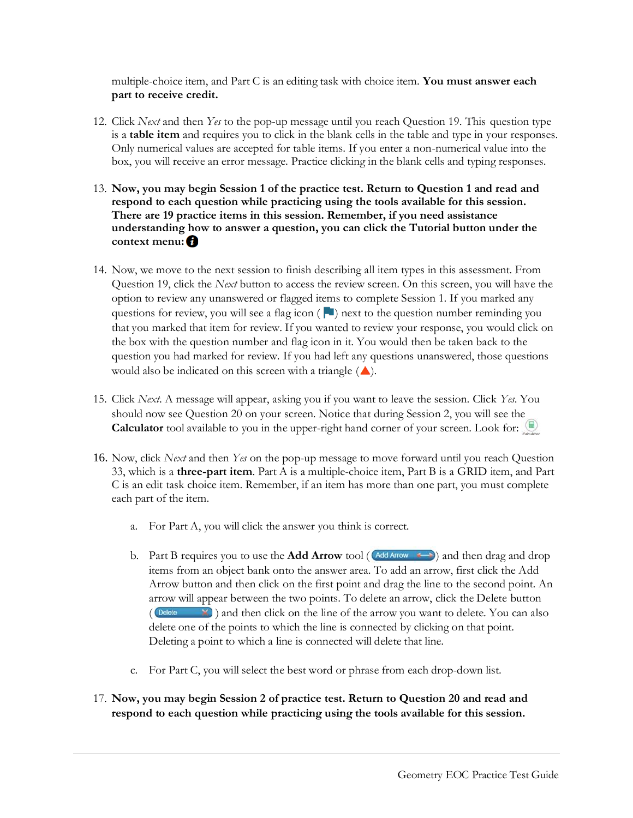multiple-choice item, and Part C is an editing task with choice item. **You must answer each part to receive credit.**

- 12. Click *Next* and then *Yes* to the pop-up message until you reach Question 19. This question type is a **table item** and requires you to click in the blank cells in the table and type in your responses. Only numerical values are accepted for table items. If you enter a non-numerical value into the box, you will receive an error message. Practice clicking in the blank cells and typing responses.
- 13. **Now, you may begin Session 1 of the practice test. Return to Question 1 and read and respond to each question while practicing using the tools available for this session. There are 19 practice items in this session. Remember, if you need assistance understanding how to answer a question, you can click the Tutorial button under the context menu:**
- 14. Now, we move to the next session to finish describing all item types in this assessment. From Question 19, click the *Next* button to access the review screen. On this screen, you will have the option to review any unanswered or flagged items to complete Session 1. If you marked any questions for review, you will see a flag icon  $\left( \begin{array}{c} \blacksquare \end{array} \right)$  next to the question number reminding you that you marked that item for review. If you wanted to review your response, you would click on the box with the question number and flag icon in it. You would then be taken back to the question you had marked for review. If you had left any questions unanswered, those questions would also be indicated on this screen with a triangle  $($
- 15. Click *Next*. A message will appear, asking you if you want to leave the session. Click *Yes*. You should now see Question 20 on your screen. Notice that during Session 2, you will see the Calculator tool available to you in the upper-right hand corner of your screen. Look for:
- 16. Now, click *Next* and then *Yes* on the pop-up message to move forward until you reach Question 33, which is a **three-part item**. Part A is a multiple-choice item, Part B is a GRID item, and Part C is an edit task choice item. Remember, if an item has more than one part, you must complete each part of the item.
	- a. For Part A, you will click the answer you think is correct.
	- b. Part B requires you to use the **Add Arrow** tool ( $\text{Ad}$  Arrow  $\leftarrow$ ) and then drag and drop items from an object bank onto the answer area. To add an arrow, first click the Add Arrow button and then click on the first point and drag the line to the second point. An arrow will appear between the two points. To delete an arrow, click the Delete button  $(\Box$  Delete  $\Box$ ) and then click on the line of the arrow you want to delete. You can also delete one of the points to which the line is connected by clicking on that point. Deleting a point to which a line is connected will delete that line.
	- c. For Part C, you will select the best word or phrase from each drop-down list.
- 17. **Now, you may begin Session 2 of practice test. Return to Question 20 and read and respond to each question while practicing using the tools available for this session.**